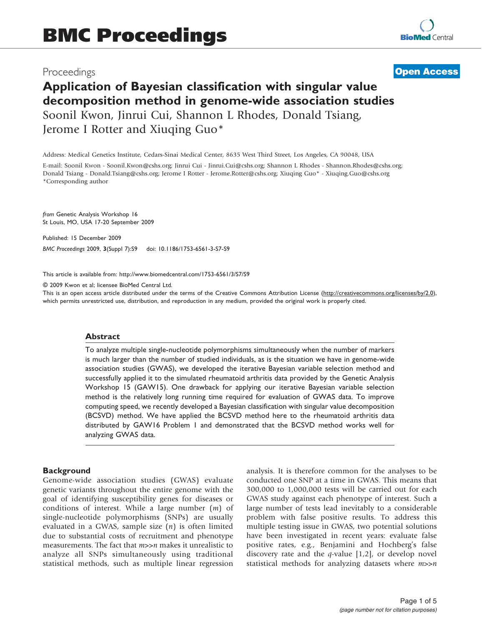# Proceedings

# **[Open Access](http://www.biomedcentral.com/info/about/charter/)**

# Application of Bayesian classification with singular value decomposition method in genome-wide association studies Soonil Kwon, Jinrui Cui, Shannon L Rhodes, Donald Tsiang, Jerome I Rotter and Xiuqing Guo\*

Address: Medical Genetics Institute, Cedars-Sinai Medical Center, 8635 West Third Street, Los Angeles, CA 90048, USA

E-mail: Soonil Kwon - [Soonil.Kwon@cshs.org;](mailto:Soonil.Kwon@cshs.org) Jinrui Cui - [Jinrui.Cui@cshs.org;](mailto:Jinrui.Cui@cshs.org) Shannon L Rhodes - [Shannon.Rhodes@cshs.org;](mailto:Shannon.Rhodes@cshs.org) Donald Tsiang - [Donald.Tsiang@cshs.org](mailto:Donald.Tsiang@cshs.org); Jerome I Rotter - [Jerome.Rotter@cshs.org](mailto:Jerome.Rotter@cshs.org); Xiuqing Guo\* - [Xiuqing.Guo@cshs.org](mailto:Xiuqing.Guo@cshs.org) \*Corresponding author

from Genetic Analysis Workshop 16 St Louis, MO, USA 17-20 September 2009

Published: 15 December 2009 BMC Proceedings 2009, 3(Suppl 7):S9 doi: 10.1186/1753-6561-3-S7-S9

This article is available from: http://www.biomedcentral.com/1753-6561/3/S7/S9

© 2009 Kwon et al; licensee BioMed Central Ltd.

This is an open access article distributed under the terms of the Creative Commons Attribution License [\(http://creativecommons.org/licenses/by/2.0\)](http://creativecommons.org/licenses/by/2.0), which permits unrestricted use, distribution, and reproduction in any medium, provided the original work is properly cited.

#### Abstract

To analyze multiple single-nucleotide polymorphisms simultaneously when the number of markers is much larger than the number of studied individuals, as is the situation we have in genome-wide association studies (GWAS), we developed the iterative Bayesian variable selection method and successfully applied it to the simulated rheumatoid arthritis data provided by the Genetic Analysis Workshop 15 (GAW15). One drawback for applying our iterative Bayesian variable selection method is the relatively long running time required for evaluation of GWAS data. To improve computing speed, we recently developed a Bayesian classification with singular value decomposition (BCSVD) method. We have applied the BCSVD method here to the rheumatoid arthritis data distributed by GAW16 Problem 1 and demonstrated that the BCSVD method works well for analyzing GWAS data.

# **Background**

Genome-wide association studies (GWAS) evaluate genetic variants throughout the entire genome with the goal of identifying susceptibility genes for diseases or conditions of interest. While a large number  $(m)$  of single-nucleotide polymorphisms (SNPs) are usually evaluated in a GWAS, sample size  $(n)$  is often limited due to substantial costs of recruitment and phenotype measurements. The fact that *m*>>*n* makes it unrealistic to analyze all SNPs simultaneously using traditional statistical methods, such as multiple linear regression analysis. It is therefore common for the analyses to be conducted one SNP at a time in GWAS. This means that 300,000 to 1,000,000 tests will be carried out for each GWAS study against each phenotype of interest. Such a large number of tests lead inevitably to a considerable problem with false positive results. To address this multiple testing issue in GWAS, two potential solutions have been investigated in recent years: evaluate false positive rates, e.g., Benjamini and Hochberg's false discovery rate and the  $q$ -value [[1](#page-4-0),[2](#page-4-0)], or develop novel statistical methods for analyzing datasets where  $m>>n$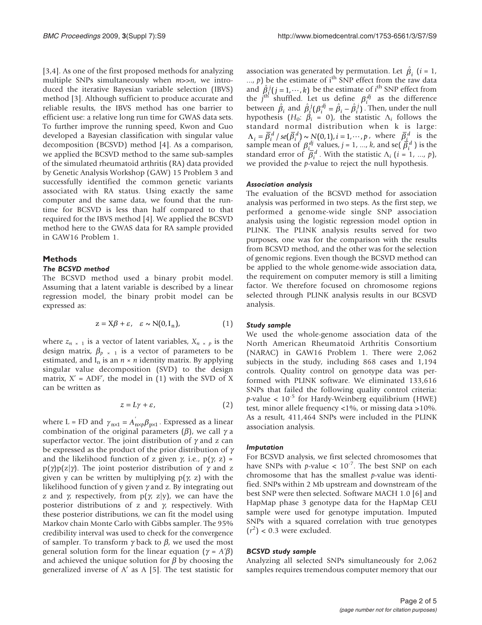[[3](#page-4-0),[4](#page-4-0)]. As one of the first proposed methods for analyzing multiple SNPs simultaneously when  $m>>n$ , we introduced the iterative Bayesian variable selection (IBVS) method [[3](#page-4-0)]. Although sufficient to produce accurate and reliable results, the IBVS method has one barrier to efficient use: a relative long run time for GWAS data sets. To further improve the running speed, Kwon and Guo developed a Bayesian classification with singular value decomposition (BCSVD) method [\[4\]](#page-4-0). As a comparison, we applied the BCSVD method to the same sub-samples of the simulated rheumatoid arthritis (RA) data provided by Genetic Analysis Workshop (GAW) 15 Problem 3 and successfully identified the common genetic variants associated with RA status. Using exactly the same computer and the same data, we found that the runtime for BCSVD is less than half compared to that required for the IBVS method [\[4\]](#page-4-0). We applied the BCSVD method here to the GWAS data for RA sample provided in GAW16 Problem 1.

# **Methods**

# The BCSVD method

The BCSVD method used a binary probit model. Assuming that a latent variable is described by a linear regression model, the binary probit model can be expressed as:

$$
z = X\beta + \varepsilon, \quad \varepsilon \sim N(0, I_n), \tag{1}
$$

where  $z_{n \times 1}$  is a vector of latent variables,  $X_{n \times p}$  is the design matrix,  $\beta_{p \times 1}$  is a vector of parameters to be estimated, and  $I_n$  is an  $n \times n$  identity matrix. By applying singular value decomposition (SVD) to the design matrix,  $X' = ADF'$ , the model in (1) with the SVD of X can be written as

$$
z = L\gamma + \varepsilon,\tag{2}
$$

where L = FD and  $\gamma_{n \times 1} = A_{n \times p}^{'} \beta_{p \times 1}$ . Expressed as a linear combination of the original parameters  $(\beta)$ , we call  $\gamma$  a superfactor vector. The joint distribution of  $\gamma$  and z can be expressed as the product of the prior distribution of  $\gamma$ and the likelihood function of z given  $\gamma$ , i.e., p( $\gamma$ , z) «  $p(\gamma)p(z|\gamma)$ . The joint posterior distribution of  $\gamma$  and z given y can be written by multiplying  $p(\gamma, z)$  with the likelihood function of y given  $\gamma$  and z. By integrating out z and  $\gamma$ , respectively, from  $p(\gamma, z|y)$ , we can have the posterior distributions of z and  $\gamma$ , respectively. With these posterior distributions, we can fit the model using Markov chain Monte Carlo with Gibbs sampler. The 95% credibility interval was used to check for the convergence of sampler. To transform  $\gamma$  back to  $\beta$ , we used the most general solution form for the linear equation ( $\gamma = A'\beta$ ) and achieved the unique solution for  $\beta$  by choosing the generalized inverse of  $A'$  as  $A$  [[5](#page-4-0)]. The test statistic for

association was generated by permutation. Let  $\hat{\beta}_i$  (*i* = 1, ...,  $p$ ) be the estimate of i<sup>th</sup> SNP effect from the raw data and  $\hat{A}^j_i(j=1,\dots,k)$  be the estimate of *i*<sup>th</sup> SNP effect from the  $j^{\text{th}}$  shuffled. Let us define  $\beta_i^{dj}$  as the difference between  $\hat{\beta}_i$  and  $\hat{\beta}_i^j(\beta_i^{dj} = \hat{\beta}_i - \hat{\beta}_i^j)$ . Then, under the null hypothesis  $(H_0: \beta_i = 0)$ , the statistic  $\Lambda_i$  follows the standard normal distribution when k is large:  $\Lambda_i = \overline{\beta}_i^d / \text{se}(\overline{\beta}_i^d) \sim N(0, 1), i = 1, \cdots, p$ , where  $\overline{\beta}_i^d$  is the sample mean of  $\beta_i^d$  values,  $j = 1, ..., k$ , and se( $\overline{\beta}_i^d$ ) is the standard error of  $\overline{\beta}_i^d$ . With the statistic  $\Lambda_i$  (*i* = 1, ..., *p*), we provided the p-value to reject the null hypothesis.

# Association analysis

The evaluation of the BCSVD method for association analysis was performed in two steps. As the first step, we performed a genome-wide single SNP association analysis using the logistic regression model option in PLINK. The PLINK analysis results served for two purposes, one was for the comparison with the results from BCSVD method, and the other was for the selection of genomic regions. Even though the BCSVD method can be applied to the whole genome-wide association data, the requirement on computer memory is still a limiting factor. We therefore focused on chromosome regions selected through PLINK analysis results in our BCSVD analysis.

#### Study sample

We used the whole-genome association data of the North American Rheumatoid Arthritis Consortium (NARAC) in GAW16 Problem 1. There were 2,062 subjects in the study, including 868 cases and 1,194 controls. Quality control on genotype data was performed with PLINK software. We eliminated 133,616 SNPs that failed the following quality control criteria:  $p$ -value <  $10^{-5}$  for Hardy-Weinberg equilibrium (HWE) test, minor allele frequency <1%, or missing data >10%. As a result, 411,464 SNPs were included in the PLINK association analysis.

#### Imputation

For BCSVD analysis, we first selected chromosomes that have SNPs with  $p$ -value <  $10^{-7}$ . The best SNP on each chromosome that has the smallest  $p$ -value was identified. SNPs within 2 Mb upstream and downstream of the best SNP were then selected. Software MACH 1.0 [[6](#page-4-0)] and HapMap phase 3 genotype data for the HapMap CEU sample were used for genotype imputation. Imputed SNPs with a squared correlation with true genotypes  $(r^2)$  < 0.3 were excluded.

#### BCSVD study sample

Analyzing all selected SNPs simultaneously for 2,062 samples requires tremendous computer memory that our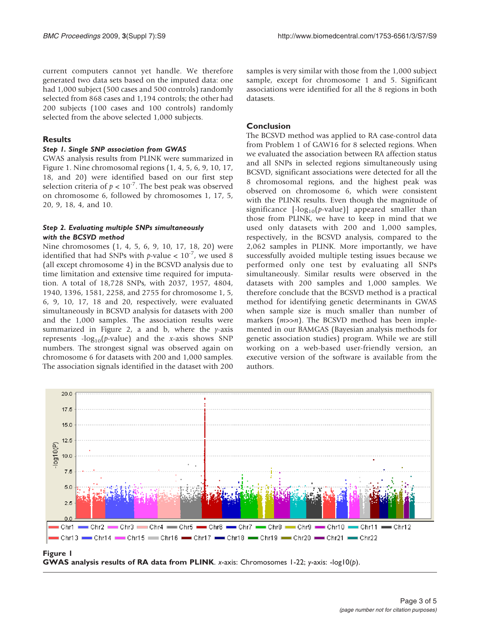current computers cannot yet handle. We therefore generated two data sets based on the imputed data: one had 1,000 subject (500 cases and 500 controls) randomly selected from 868 cases and 1,194 controls; the other had 200 subjects (100 cases and 100 controls) randomly selected from the above selected 1,000 subjects.

# **Results**

#### Step 1. Single SNP association from GWAS

GWAS analysis results from PLINK were summarized in Figure 1. Nine chromosomal regions (1, 4, 5, 6, 9, 10, 17, 18, and 20) were identified based on our first step selection criteria of  $p < 10^{-7}$ . The best peak was observed on chromosome 6, followed by chromosomes 1, 17, 5, 20, 9, 18, 4, and 10.

# Step 2. Evaluating multiple SNPs simultaneously with the BCSVD method

Nine chromosomes (1, 4, 5, 6, 9, 10, 17, 18, 20) were identified that had SNPs with  $p$ -value <  $10^{-7}$ , we used 8 (all except chromosome 4) in the BCSVD analysis due to time limitation and extensive time required for imputation. A total of 18,728 SNPs, with 2037, 1957, 4804, 1940, 1396, 1581, 2258, and 2755 for chromosome 1, 5, 6, 9, 10, 17, 18 and 20, respectively, were evaluated simultaneously in BCSVD analysis for datasets with 200 and the 1,000 samples. The association results were summarized in Figure [2](#page-3-0), a and b, where the  $\gamma$ -axis represents  $-log_{10}(p-value)$  and the x-axis shows SNP numbers. The strongest signal was observed again on chromosome 6 for datasets with 200 and 1,000 samples. The association signals identified in the dataset with 200

samples is very similar with those from the 1,000 subject sample, except for chromosome 1 and 5. Significant associations were identified for all the 8 regions in both datasets.

# Conclusion

The BCSVD method was applied to RA case-control data from Problem 1 of GAW16 for 8 selected regions. When we evaluated the association between RA affection status and all SNPs in selected regions simultaneously using BCSVD, significant associations were detected for all the 8 chromosomal regions, and the highest peak was observed on chromosome 6, which were consistent with the PLINK results. Even though the magnitude of significance  $[-\log_{10}(p\text{-value})]$  appeared smaller than those from PLINK, we have to keep in mind that we used only datasets with 200 and 1,000 samples, respectively, in the BCSVD analysis, compared to the 2,062 samples in PLINK. More importantly, we have successfully avoided multiple testing issues because we performed only one test by evaluating all SNPs simultaneously. Similar results were observed in the datasets with 200 samples and 1,000 samples. We therefore conclude that the BCSVD method is a practical method for identifying genetic determinants in GWAS when sample size is much smaller than number of markers  $(m>>n)$ . The BCSVD method has been implemented in our BAMGAS (Bayesian analysis methods for genetic association studies) program. While we are still working on a web-based user-friendly version, an executive version of the software is available from the authors.



Figure 1 **GWAS analysis results of RA data from PLINK.** x-axis: Chromosomes 1-22; y-axis: - $log10(b)$ .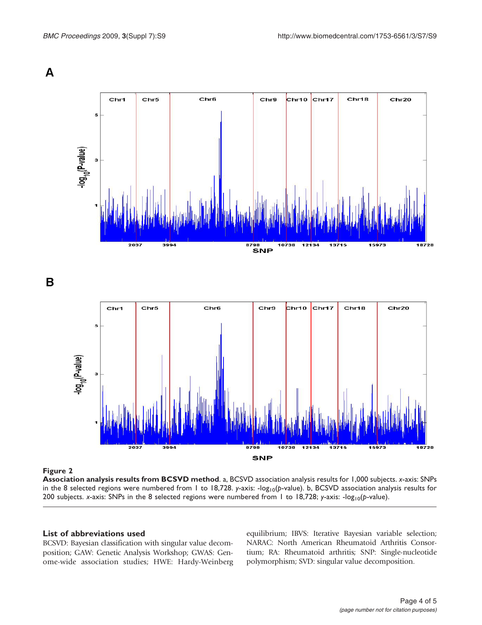<span id="page-3-0"></span>

B



#### Figure 2

Association analysis results from BCSVD method. a, BCSVD association analysis results for 1,000 subjects. x-axis: SNPs in the 8 selected regions were numbered from 1 to 18,728. y-axis: - $log_{10}(p$ -value). b, BCSVD association analysis results for 200 subjects. x-axis: SNPs in the 8 selected regions were numbered from 1 to 18,728; y-axis:  $-log_{10}(p$ -value).

# List of abbreviations used

BCSVD: Bayesian classification with singular value decomposition; GAW: Genetic Analysis Workshop; GWAS: Genome-wide association studies; HWE: Hardy-Weinberg equilibrium; IBVS: Iterative Bayesian variable selection; NARAC: North American Rheumatoid Arthritis Consortium; RA: Rheumatoid arthritis; SNP: Single-nucleotide polymorphism; SVD: singular value decomposition.